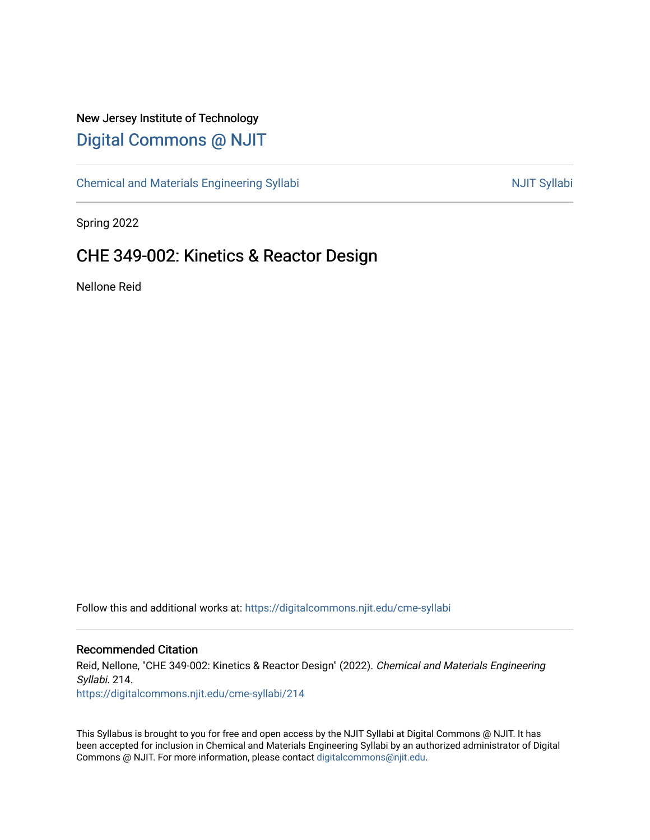## New Jersey Institute of Technology [Digital Commons @ NJIT](https://digitalcommons.njit.edu/)

[Chemical and Materials Engineering Syllabi](https://digitalcommons.njit.edu/cme-syllabi) Nulle and Syllabi Nulle Syllabi Nulle Syllabi Nulle Syllabi Nulle Syllabi

Spring 2022

# CHE 349-002: Kinetics & Reactor Design

Nellone Reid

Follow this and additional works at: [https://digitalcommons.njit.edu/cme-syllabi](https://digitalcommons.njit.edu/cme-syllabi?utm_source=digitalcommons.njit.edu%2Fcme-syllabi%2F214&utm_medium=PDF&utm_campaign=PDFCoverPages) 

#### Recommended Citation

Reid, Nellone, "CHE 349-002: Kinetics & Reactor Design" (2022). Chemical and Materials Engineering Syllabi. 214. [https://digitalcommons.njit.edu/cme-syllabi/214](https://digitalcommons.njit.edu/cme-syllabi/214?utm_source=digitalcommons.njit.edu%2Fcme-syllabi%2F214&utm_medium=PDF&utm_campaign=PDFCoverPages) 

This Syllabus is brought to you for free and open access by the NJIT Syllabi at Digital Commons @ NJIT. It has been accepted for inclusion in Chemical and Materials Engineering Syllabi by an authorized administrator of Digital Commons @ NJIT. For more information, please contact [digitalcommons@njit.edu.](mailto:digitalcommons@njit.edu)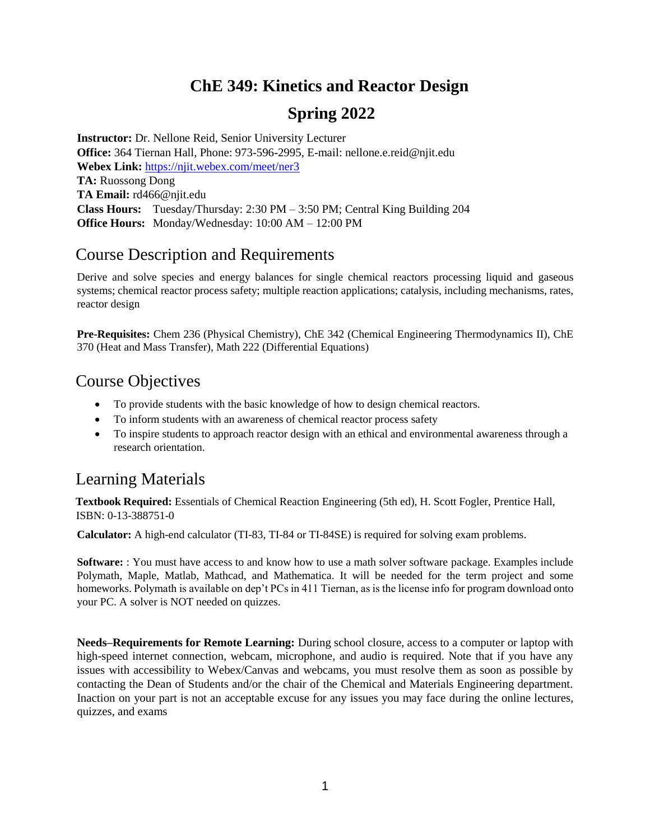## **ChE 349: Kinetics and Reactor Design**

# **Spring 2022**

**Instructor:** Dr. Nellone Reid, Senior University Lecturer **Office:** 364 Tiernan Hall, Phone: 973-596-2995, E-mail: nellone.e.reid@njit.edu **Webex Link:** <https://njit.webex.com/meet/ner3> **TA:** Ruossong Dong **TA Email:** rd466@njit.edu **Class Hours:** Tuesday/Thursday: 2:30 PM – 3:50 PM; Central King Building 204 **Office Hours:** Monday/Wednesday: 10:00 AM – 12:00 PM

## Course Description and Requirements

Derive and solve species and energy balances for single chemical reactors processing liquid and gaseous systems; chemical reactor process safety; multiple reaction applications; catalysis, including mechanisms, rates, reactor design

**Pre-Requisites:** Chem 236 (Physical Chemistry), ChE 342 (Chemical Engineering Thermodynamics II), ChE 370 (Heat and Mass Transfer), Math 222 (Differential Equations)

## Course Objectives

- To provide students with the basic knowledge of how to design chemical reactors.
- To inform students with an awareness of chemical reactor process safety
- To inspire students to approach reactor design with an ethical and environmental awareness through a research orientation.

## Learning Materials

**Textbook Required:** Essentials of Chemical Reaction Engineering (5th ed), H. Scott Fogler, Prentice Hall, ISBN: 0-13-388751-0

**Calculator:** A high-end calculator (TI-83, TI-84 or TI-84SE) is required for solving exam problems.

**Software:** : You must have access to and know how to use a math solver software package. Examples include Polymath, Maple, Matlab, Mathcad, and Mathematica. It will be needed for the term project and some homeworks. Polymath is available on dep't PCs in 411 Tiernan, as is the license info for program download onto your PC. A solver is NOT needed on quizzes.

**Needs–Requirements for Remote Learning:** During school closure, access to a computer or laptop with high-speed internet connection, webcam, microphone, and audio is required. Note that if you have any issues with accessibility to Webex/Canvas and webcams, you must resolve them as soon as possible by contacting the Dean of Students and/or the chair of the Chemical and Materials Engineering department. Inaction on your part is not an acceptable excuse for any issues you may face during the online lectures, quizzes, and exams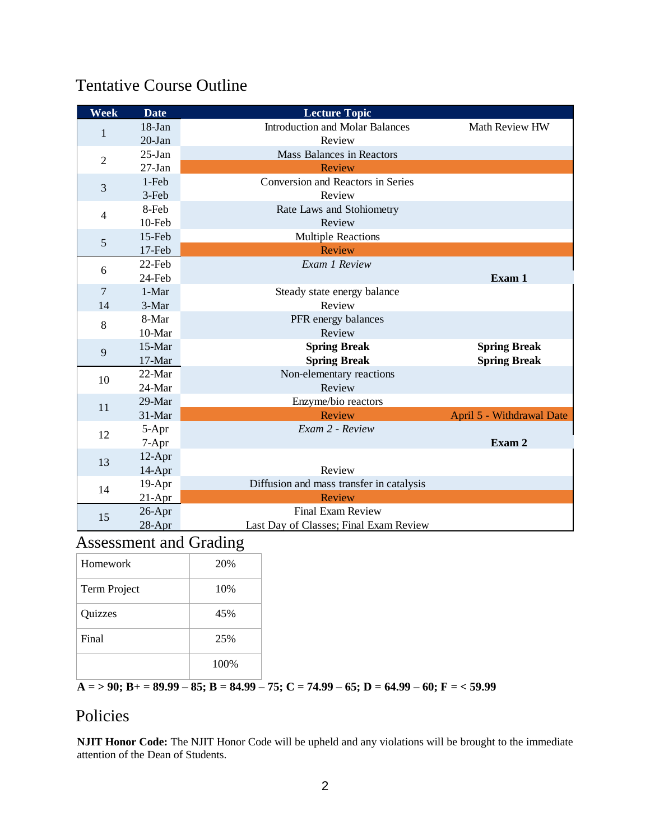# Tentative Course Outline

| Week           | <b>Date</b> | <b>Lecture Topic</b>                     |                           |
|----------------|-------------|------------------------------------------|---------------------------|
| 1              | $18 - Jan$  | <b>Introduction and Molar Balances</b>   | Math Review HW            |
|                | $20-Ian$    | Review                                   |                           |
| $\overline{2}$ | $25-Ian$    | <b>Mass Balances in Reactors</b>         |                           |
|                | $27-Ian$    | Review                                   |                           |
| 3              | 1-Feb       | <b>Conversion and Reactors in Series</b> |                           |
|                | 3-Feb       | Review                                   |                           |
| $\overline{4}$ | 8-Feb       | Rate Laws and Stohiometry                |                           |
|                | 10-Feb      | Review                                   |                           |
| 5              | 15-Feb      | <b>Multiple Reactions</b>                |                           |
|                | 17-Feb      | Review                                   |                           |
| 6              | 22-Feb      | Exam 1 Review                            |                           |
|                | 24-Feb      |                                          | Exam 1                    |
| $\overline{7}$ | 1-Mar       | Steady state energy balance              |                           |
| 14             | 3-Mar       | Review                                   |                           |
| 8              | 8-Mar       | PFR energy balances                      |                           |
|                | 10-Mar      | Review                                   |                           |
| 9              | 15-Mar      | <b>Spring Break</b>                      | <b>Spring Break</b>       |
|                | 17-Mar      | <b>Spring Break</b>                      | <b>Spring Break</b>       |
| 10             | $22$ -Mar   | Non-elementary reactions                 |                           |
|                | 24-Mar      | Review                                   |                           |
| 11             | 29-Mar      | Enzyme/bio reactors                      |                           |
|                | 31-Mar      | Review                                   | April 5 - Withdrawal Date |
| 12             | 5-Apr       | Exam 2 - Review                          |                           |
|                | $7-Apr$     |                                          | Exam 2                    |
| 13             | $12-Apr$    |                                          |                           |
|                | $14-Apr$    | Review                                   |                           |
| 14             | 19-Apr      | Diffusion and mass transfer in catalysis |                           |
|                | $21-Apr$    | <b>Review</b>                            |                           |
| 15             | 26-Apr      | <b>Final Exam Review</b>                 |                           |
|                | $28-Apr$    | Last Day of Classes; Final Exam Review   |                           |

# Assessment and Grading

| Homework     | 20%  |
|--------------|------|
| Term Project | 10%  |
| Quizzes      | 45%  |
| Final        | 25%  |
|              | 100% |

**A = > 90; B+ = 89.99 – 85; B = 84.99 – 75; C = 74.99 – 65; D = 64.99 – 60; F = < 59.99**

## Policies

**NJIT Honor Code:** The NJIT Honor Code will be upheld and any violations will be brought to the immediate attention of the Dean of Students.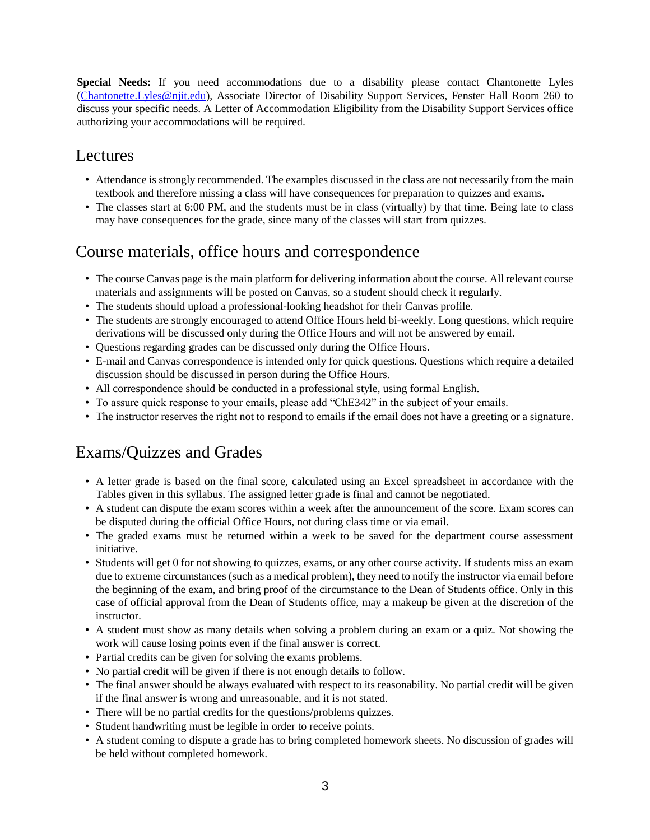**Special Needs:** If you need accommodations due to a disability please contact Chantonette Lyles [\(Chantonette.Lyles@njit.edu\)](mailto:Chantonette.Lyles@njit.edu), Associate Director of Disability Support Services, Fenster Hall Room 260 to discuss your specific needs. A Letter of Accommodation Eligibility from the Disability Support Services office authorizing your accommodations will be required.

### Lectures

- Attendance is strongly recommended. The examples discussed in the class are not necessarily from the main textbook and therefore missing a class will have consequences for preparation to quizzes and exams.
- The classes start at 6:00 PM, and the students must be in class (virtually) by that time. Being late to class may have consequences for the grade, since many of the classes will start from quizzes.

### Course materials, office hours and correspondence

- The course Canvas page is the main platform for delivering information about the course. All relevant course materials and assignments will be posted on Canvas, so a student should check it regularly.
- The students should upload a professional-looking headshot for their Canvas profile.
- The students are strongly encouraged to attend Office Hours held bi-weekly. Long questions, which require derivations will be discussed only during the Office Hours and will not be answered by email.
- Questions regarding grades can be discussed only during the Office Hours.
- E-mail and Canvas correspondence is intended only for quick questions. Questions which require a detailed discussion should be discussed in person during the Office Hours.
- All correspondence should be conducted in a professional style, using formal English.
- To assure quick response to your emails, please add "ChE342" in the subject of your emails.
- The instructor reserves the right not to respond to emails if the email does not have a greeting or a signature.

## Exams/Quizzes and Grades

- A letter grade is based on the final score, calculated using an Excel spreadsheet in accordance with the Tables given in this syllabus. The assigned letter grade is final and cannot be negotiated.
- A student can dispute the exam scores within a week after the announcement of the score. Exam scores can be disputed during the official Office Hours, not during class time or via email.
- The graded exams must be returned within a week to be saved for the department course assessment initiative.
- Students will get 0 for not showing to quizzes, exams, or any other course activity. If students miss an exam due to extreme circumstances (such as a medical problem), they need to notify the instructor via email before the beginning of the exam, and bring proof of the circumstance to the Dean of Students office. Only in this case of official approval from the Dean of Students office, may a makeup be given at the discretion of the instructor.
- A student must show as many details when solving a problem during an exam or a quiz. Not showing the work will cause losing points even if the final answer is correct.
- Partial credits can be given for solving the exams problems.
- No partial credit will be given if there is not enough details to follow.
- The final answer should be always evaluated with respect to its reasonability. No partial credit will be given if the final answer is wrong and unreasonable, and it is not stated.
- There will be no partial credits for the questions/problems quizzes.
- Student handwriting must be legible in order to receive points.
- A student coming to dispute a grade has to bring completed homework sheets. No discussion of grades will be held without completed homework.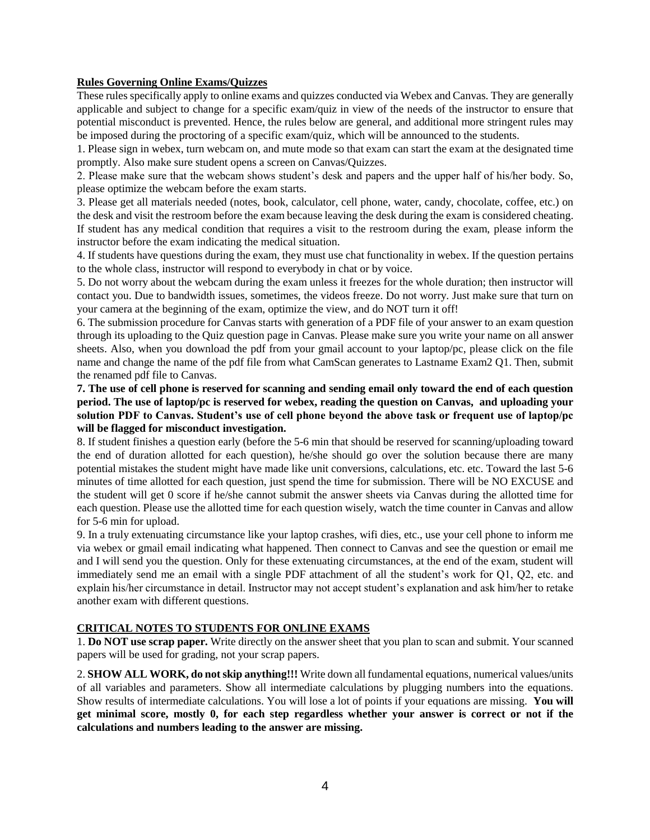#### **Rules Governing Online Exams/Quizzes**

These rules specifically apply to online exams and quizzes conducted via Webex and Canvas. They are generally applicable and subject to change for a specific exam/quiz in view of the needs of the instructor to ensure that potential misconduct is prevented. Hence, the rules below are general, and additional more stringent rules may be imposed during the proctoring of a specific exam/quiz, which will be announced to the students.

1. Please sign in webex, turn webcam on, and mute mode so that exam can start the exam at the designated time promptly. Also make sure student opens a screen on Canvas/Quizzes.

2. Please make sure that the webcam shows student's desk and papers and the upper half of his/her body. So, please optimize the webcam before the exam starts.

3. Please get all materials needed (notes, book, calculator, cell phone, water, candy, chocolate, coffee, etc.) on the desk and visit the restroom before the exam because leaving the desk during the exam is considered cheating. If student has any medical condition that requires a visit to the restroom during the exam, please inform the instructor before the exam indicating the medical situation.

4. If students have questions during the exam, they must use chat functionality in webex. If the question pertains to the whole class, instructor will respond to everybody in chat or by voice.

5. Do not worry about the webcam during the exam unless it freezes for the whole duration; then instructor will contact you. Due to bandwidth issues, sometimes, the videos freeze. Do not worry. Just make sure that turn on your camera at the beginning of the exam, optimize the view, and do NOT turn it off!

6. The submission procedure for Canvas starts with generation of a PDF file of your answer to an exam question through its uploading to the Quiz question page in Canvas. Please make sure you write your name on all answer sheets. Also, when you download the pdf from your gmail account to your laptop/pc, please click on the file name and change the name of the pdf file from what CamScan generates to Lastname Exam2 Q1. Then, submit the renamed pdf file to Canvas.

**7. The use of cell phone is reserved for scanning and sending email only toward the end of each question period. The use of laptop/pc is reserved for webex, reading the question on Canvas, and uploading your solution PDF to Canvas. Student's use of cell phone beyond the above task or frequent use of laptop/pc will be flagged for misconduct investigation.**

8. If student finishes a question early (before the 5-6 min that should be reserved for scanning/uploading toward the end of duration allotted for each question), he/she should go over the solution because there are many potential mistakes the student might have made like unit conversions, calculations, etc. etc. Toward the last 5-6 minutes of time allotted for each question, just spend the time for submission. There will be NO EXCUSE and the student will get 0 score if he/she cannot submit the answer sheets via Canvas during the allotted time for each question. Please use the allotted time for each question wisely, watch the time counter in Canvas and allow for 5-6 min for upload.

9. In a truly extenuating circumstance like your laptop crashes, wifi dies, etc., use your cell phone to inform me via webex or gmail email indicating what happened. Then connect to Canvas and see the question or email me and I will send you the question. Only for these extenuating circumstances, at the end of the exam, student will immediately send me an email with a single PDF attachment of all the student's work for Q1, Q2, etc. and explain his/her circumstance in detail. Instructor may not accept student's explanation and ask him/her to retake another exam with different questions.

#### **CRITICAL NOTES TO STUDENTS FOR ONLINE EXAMS**

1. **Do NOT use scrap paper.** Write directly on the answer sheet that you plan to scan and submit. Your scanned papers will be used for grading, not your scrap papers.

2. **SHOW ALL WORK, do not skip anything!!!** Write down all fundamental equations, numerical values/units of all variables and parameters. Show all intermediate calculations by plugging numbers into the equations. Show results of intermediate calculations. You will lose a lot of points if your equations are missing. **You will get minimal score, mostly 0, for each step regardless whether your answer is correct or not if the calculations and numbers leading to the answer are missing.**